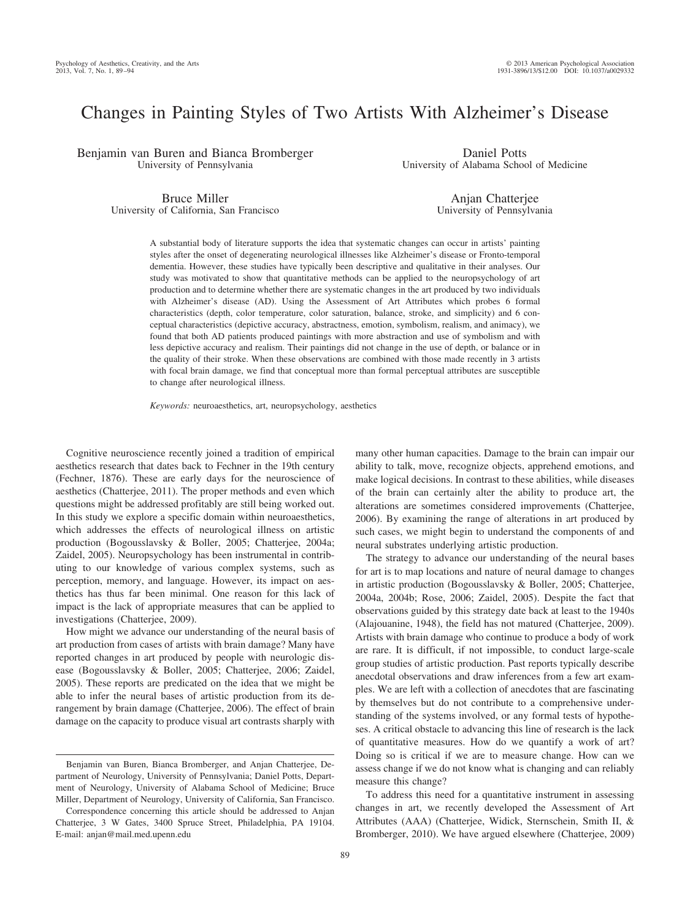# Changes in Painting Styles of Two Artists With Alzheimer's Disease

Benjamin van Buren and Bianca Bromberger University of Pennsylvania

Daniel Potts University of Alabama School of Medicine

Bruce Miller University of California, San Francisco

Anjan Chatterjee University of Pennsylvania

A substantial body of literature supports the idea that systematic changes can occur in artists' painting styles after the onset of degenerating neurological illnesses like Alzheimer's disease or Fronto-temporal dementia. However, these studies have typically been descriptive and qualitative in their analyses. Our study was motivated to show that quantitative methods can be applied to the neuropsychology of art production and to determine whether there are systematic changes in the art produced by two individuals with Alzheimer's disease (AD). Using the Assessment of Art Attributes which probes 6 formal characteristics (depth, color temperature, color saturation, balance, stroke, and simplicity) and 6 conceptual characteristics (depictive accuracy, abstractness, emotion, symbolism, realism, and animacy), we found that both AD patients produced paintings with more abstraction and use of symbolism and with less depictive accuracy and realism. Their paintings did not change in the use of depth, or balance or in the quality of their stroke. When these observations are combined with those made recently in 3 artists with focal brain damage, we find that conceptual more than formal perceptual attributes are susceptible to change after neurological illness.

*Keywords:* neuroaesthetics, art, neuropsychology, aesthetics

Cognitive neuroscience recently joined a tradition of empirical aesthetics research that dates back to Fechner in the 19th century (Fechner, 1876). These are early days for the neuroscience of aesthetics (Chatterjee, 2011). The proper methods and even which questions might be addressed profitably are still being worked out. In this study we explore a specific domain within neuroaesthetics, which addresses the effects of neurological illness on artistic production (Bogousslavsky & Boller, 2005; Chatterjee, 2004a; Zaidel, 2005). Neuropsychology has been instrumental in contributing to our knowledge of various complex systems, such as perception, memory, and language. However, its impact on aesthetics has thus far been minimal. One reason for this lack of impact is the lack of appropriate measures that can be applied to investigations (Chatterjee, 2009).

How might we advance our understanding of the neural basis of art production from cases of artists with brain damage? Many have reported changes in art produced by people with neurologic disease (Bogousslavsky & Boller, 2005; Chatterjee, 2006; Zaidel, 2005). These reports are predicated on the idea that we might be able to infer the neural bases of artistic production from its derangement by brain damage (Chatterjee, 2006). The effect of brain damage on the capacity to produce visual art contrasts sharply with

ability to talk, move, recognize objects, apprehend emotions, and make logical decisions. In contrast to these abilities, while diseases of the brain can certainly alter the ability to produce art, the alterations are sometimes considered improvements (Chatterjee, 2006). By examining the range of alterations in art produced by such cases, we might begin to understand the components of and neural substrates underlying artistic production. The strategy to advance our understanding of the neural bases

many other human capacities. Damage to the brain can impair our

for art is to map locations and nature of neural damage to changes in artistic production (Bogousslavsky & Boller, 2005; Chatterjee, 2004a, 2004b; Rose, 2006; Zaidel, 2005). Despite the fact that observations guided by this strategy date back at least to the 1940s (Alajouanine, 1948), the field has not matured (Chatterjee, 2009). Artists with brain damage who continue to produce a body of work are rare. It is difficult, if not impossible, to conduct large-scale group studies of artistic production. Past reports typically describe anecdotal observations and draw inferences from a few art examples. We are left with a collection of anecdotes that are fascinating by themselves but do not contribute to a comprehensive understanding of the systems involved, or any formal tests of hypotheses. A critical obstacle to advancing this line of research is the lack of quantitative measures. How do we quantify a work of art? Doing so is critical if we are to measure change. How can we assess change if we do not know what is changing and can reliably measure this change?

To address this need for a quantitative instrument in assessing changes in art, we recently developed the Assessment of Art Attributes (AAA) (Chatterjee, Widick, Sternschein, Smith II, & Bromberger, 2010). We have argued elsewhere (Chatterjee, 2009)

Benjamin van Buren, Bianca Bromberger, and Anjan Chatterjee, Department of Neurology, University of Pennsylvania; Daniel Potts, Department of Neurology, University of Alabama School of Medicine; Bruce Miller, Department of Neurology, University of California, San Francisco.

Correspondence concerning this article should be addressed to Anjan Chatterjee, 3 W Gates, 3400 Spruce Street, Philadelphia, PA 19104. E-mail: anjan@mail.med.upenn.edu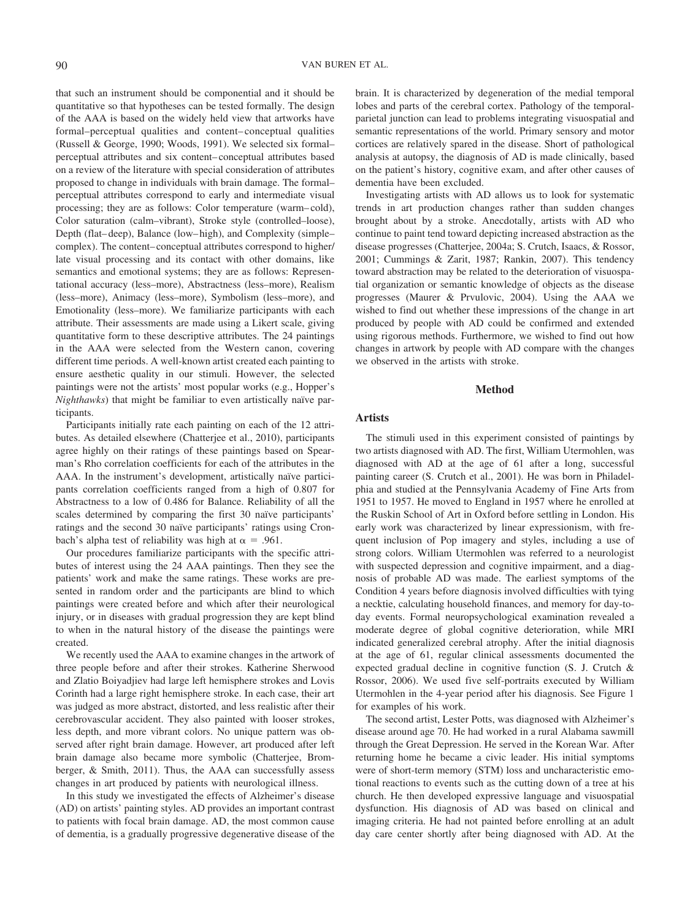that such an instrument should be componential and it should be quantitative so that hypotheses can be tested formally. The design of the AAA is based on the widely held view that artworks have formal–perceptual qualities and content–conceptual qualities (Russell & George, 1990; Woods, 1991). We selected six formal– perceptual attributes and six content–conceptual attributes based on a review of the literature with special consideration of attributes proposed to change in individuals with brain damage. The formal– perceptual attributes correspond to early and intermediate visual processing; they are as follows: Color temperature (warm–cold), Color saturation (calm–vibrant), Stroke style (controlled–loose), Depth (flat–deep), Balance (low–high), and Complexity (simple– complex). The content–conceptual attributes correspond to higher/ late visual processing and its contact with other domains, like semantics and emotional systems; they are as follows: Representational accuracy (less–more), Abstractness (less–more), Realism (less–more), Animacy (less–more), Symbolism (less–more), and Emotionality (less–more). We familiarize participants with each attribute. Their assessments are made using a Likert scale, giving quantitative form to these descriptive attributes. The 24 paintings in the AAA were selected from the Western canon, covering different time periods. A well-known artist created each painting to ensure aesthetic quality in our stimuli. However, the selected paintings were not the artists' most popular works (e.g., Hopper's *Nighthawks*) that might be familiar to even artistically naïve participants.

Participants initially rate each painting on each of the 12 attributes. As detailed elsewhere (Chatterjee et al., 2010), participants agree highly on their ratings of these paintings based on Spearman's Rho correlation coefficients for each of the attributes in the AAA. In the instrument's development, artistically naïve participants correlation coefficients ranged from a high of 0.807 for Abstractness to a low of 0.486 for Balance. Reliability of all the scales determined by comparing the first 30 naïve participants' ratings and the second 30 naïve participants' ratings using Cronbach's alpha test of reliability was high at  $\alpha = .961$ .

Our procedures familiarize participants with the specific attributes of interest using the 24 AAA paintings. Then they see the patients' work and make the same ratings. These works are presented in random order and the participants are blind to which paintings were created before and which after their neurological injury, or in diseases with gradual progression they are kept blind to when in the natural history of the disease the paintings were created.

We recently used the AAA to examine changes in the artwork of three people before and after their strokes. Katherine Sherwood and Zlatio Boiyadjiev had large left hemisphere strokes and Lovis Corinth had a large right hemisphere stroke. In each case, their art was judged as more abstract, distorted, and less realistic after their cerebrovascular accident. They also painted with looser strokes, less depth, and more vibrant colors. No unique pattern was observed after right brain damage. However, art produced after left brain damage also became more symbolic (Chatterjee, Bromberger, & Smith, 2011). Thus, the AAA can successfully assess changes in art produced by patients with neurological illness.

In this study we investigated the effects of Alzheimer's disease (AD) on artists' painting styles. AD provides an important contrast to patients with focal brain damage. AD, the most common cause of dementia, is a gradually progressive degenerative disease of the

brain. It is characterized by degeneration of the medial temporal lobes and parts of the cerebral cortex. Pathology of the temporalparietal junction can lead to problems integrating visuospatial and semantic representations of the world. Primary sensory and motor cortices are relatively spared in the disease. Short of pathological analysis at autopsy, the diagnosis of AD is made clinically, based on the patient's history, cognitive exam, and after other causes of dementia have been excluded.

Investigating artists with AD allows us to look for systematic trends in art production changes rather than sudden changes brought about by a stroke. Anecdotally, artists with AD who continue to paint tend toward depicting increased abstraction as the disease progresses (Chatterjee, 2004a; S. Crutch, Isaacs, & Rossor, 2001; Cummings & Zarit, 1987; Rankin, 2007). This tendency toward abstraction may be related to the deterioration of visuospatial organization or semantic knowledge of objects as the disease progresses (Maurer & Prvulovic, 2004). Using the AAA we wished to find out whether these impressions of the change in art produced by people with AD could be confirmed and extended using rigorous methods. Furthermore, we wished to find out how changes in artwork by people with AD compare with the changes we observed in the artists with stroke.

#### **Method**

#### **Artists**

The stimuli used in this experiment consisted of paintings by two artists diagnosed with AD. The first, William Utermohlen, was diagnosed with AD at the age of 61 after a long, successful painting career (S. Crutch et al., 2001). He was born in Philadelphia and studied at the Pennsylvania Academy of Fine Arts from 1951 to 1957. He moved to England in 1957 where he enrolled at the Ruskin School of Art in Oxford before settling in London. His early work was characterized by linear expressionism, with frequent inclusion of Pop imagery and styles, including a use of strong colors. William Utermohlen was referred to a neurologist with suspected depression and cognitive impairment, and a diagnosis of probable AD was made. The earliest symptoms of the Condition 4 years before diagnosis involved difficulties with tying a necktie, calculating household finances, and memory for day-today events. Formal neuropsychological examination revealed a moderate degree of global cognitive deterioration, while MRI indicated generalized cerebral atrophy. After the initial diagnosis at the age of 61, regular clinical assessments documented the expected gradual decline in cognitive function (S. J. Crutch & Rossor, 2006). We used five self-portraits executed by William Utermohlen in the 4-year period after his diagnosis. See Figure 1 for examples of his work.

The second artist, Lester Potts, was diagnosed with Alzheimer's disease around age 70. He had worked in a rural Alabama sawmill through the Great Depression. He served in the Korean War*.* After returning home he became a civic leader. His initial symptoms were of short-term memory (STM) loss and uncharacteristic emotional reactions to events such as the cutting down of a tree at his church. He then developed expressive language and visuospatial dysfunction. His diagnosis of AD was based on clinical and imaging criteria. He had not painted before enrolling at an adult day care center shortly after being diagnosed with AD. At the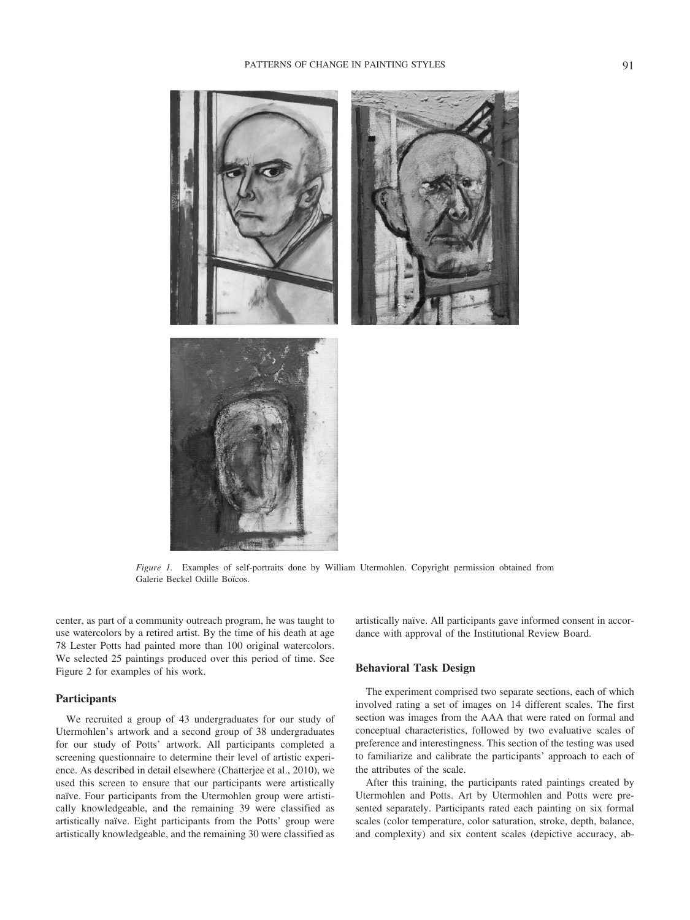

*Figure 1.* Examples of self-portraits done by William Utermohlen. Copyright permission obtained from Galerie Beckel Odille Boïcos.

center, as part of a community outreach program, he was taught to use watercolors by a retired artist. By the time of his death at age 78 Lester Potts had painted more than 100 original watercolors. We selected 25 paintings produced over this period of time. See Figure 2 for examples of his work.

# **Participants**

We recruited a group of 43 undergraduates for our study of Utermohlen's artwork and a second group of 38 undergraduates for our study of Potts' artwork. All participants completed a screening questionnaire to determine their level of artistic experience. As described in detail elsewhere (Chatterjee et al., 2010), we used this screen to ensure that our participants were artistically naïve. Four participants from the Utermohlen group were artistically knowledgeable, and the remaining 39 were classified as artistically naïve. Eight participants from the Potts' group were artistically knowledgeable, and the remaining 30 were classified as artistically naïve. All participants gave informed consent in accordance with approval of the Institutional Review Board.

# **Behavioral Task Design**

The experiment comprised two separate sections, each of which involved rating a set of images on 14 different scales. The first section was images from the AAA that were rated on formal and conceptual characteristics, followed by two evaluative scales of preference and interestingness. This section of the testing was used to familiarize and calibrate the participants' approach to each of the attributes of the scale.

After this training, the participants rated paintings created by Utermohlen and Potts. Art by Utermohlen and Potts were presented separately. Participants rated each painting on six formal scales (color temperature, color saturation, stroke, depth, balance, and complexity) and six content scales (depictive accuracy, ab-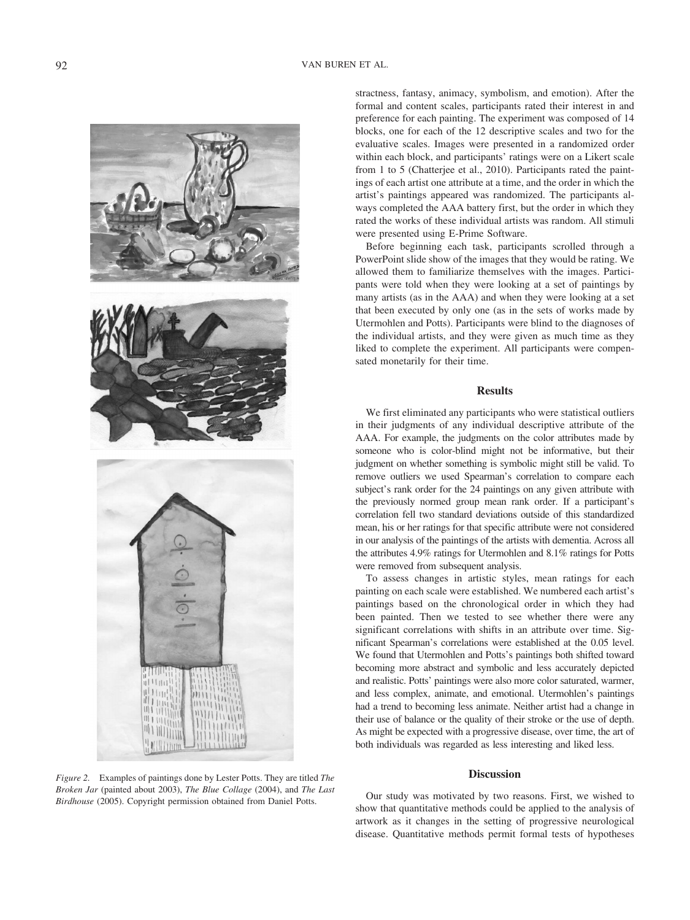

*Figure 2.* Examples of paintings done by Lester Potts. They are titled *The Broken Jar* (painted about 2003), *The Blue Collage* (2004), and *The Last Birdhouse* (2005). Copyright permission obtained from Daniel Potts.

stractness, fantasy, animacy, symbolism, and emotion). After the formal and content scales, participants rated their interest in and preference for each painting. The experiment was composed of 14 blocks, one for each of the 12 descriptive scales and two for the evaluative scales. Images were presented in a randomized order within each block, and participants' ratings were on a Likert scale from 1 to 5 (Chatterjee et al., 2010). Participants rated the paintings of each artist one attribute at a time, and the order in which the artist's paintings appeared was randomized. The participants always completed the AAA battery first, but the order in which they rated the works of these individual artists was random. All stimuli were presented using E-Prime Software.

Before beginning each task, participants scrolled through a PowerPoint slide show of the images that they would be rating. We allowed them to familiarize themselves with the images. Participants were told when they were looking at a set of paintings by many artists (as in the AAA) and when they were looking at a set that been executed by only one (as in the sets of works made by Utermohlen and Potts). Participants were blind to the diagnoses of the individual artists, and they were given as much time as they liked to complete the experiment. All participants were compensated monetarily for their time.

## **Results**

We first eliminated any participants who were statistical outliers in their judgments of any individual descriptive attribute of the AAA. For example, the judgments on the color attributes made by someone who is color-blind might not be informative, but their judgment on whether something is symbolic might still be valid. To remove outliers we used Spearman's correlation to compare each subject's rank order for the 24 paintings on any given attribute with the previously normed group mean rank order. If a participant's correlation fell two standard deviations outside of this standardized mean, his or her ratings for that specific attribute were not considered in our analysis of the paintings of the artists with dementia. Across all the attributes 4.9% ratings for Utermohlen and 8.1% ratings for Potts were removed from subsequent analysis.

To assess changes in artistic styles, mean ratings for each painting on each scale were established. We numbered each artist's paintings based on the chronological order in which they had been painted. Then we tested to see whether there were any significant correlations with shifts in an attribute over time. Significant Spearman's correlations were established at the 0.05 level. We found that Utermohlen and Potts's paintings both shifted toward becoming more abstract and symbolic and less accurately depicted and realistic. Potts' paintings were also more color saturated, warmer, and less complex, animate, and emotional. Utermohlen's paintings had a trend to becoming less animate. Neither artist had a change in their use of balance or the quality of their stroke or the use of depth. As might be expected with a progressive disease, over time, the art of both individuals was regarded as less interesting and liked less.

## **Discussion**

Our study was motivated by two reasons. First, we wished to show that quantitative methods could be applied to the analysis of artwork as it changes in the setting of progressive neurological disease. Quantitative methods permit formal tests of hypotheses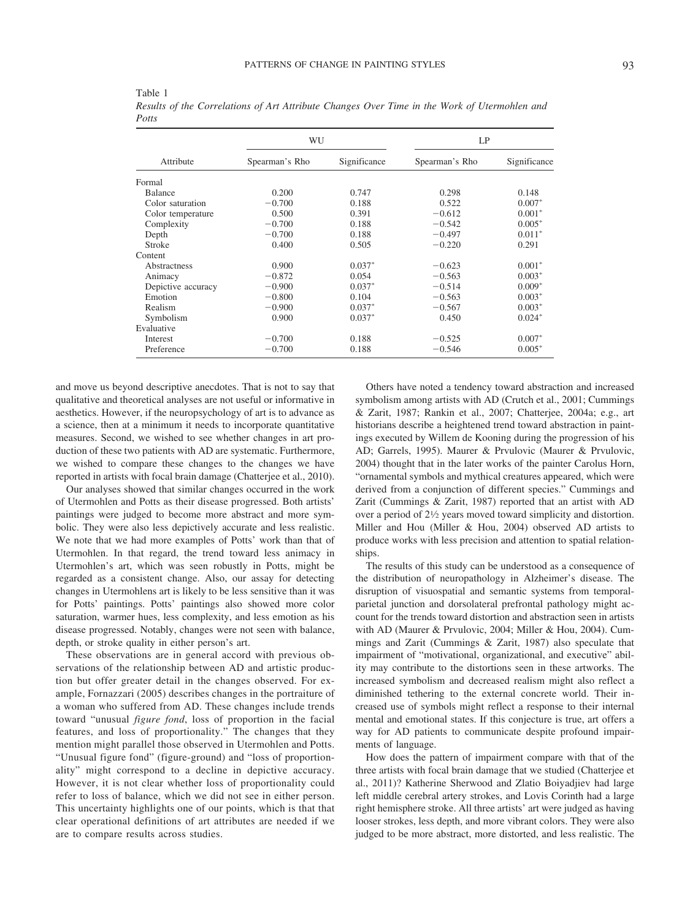| Attribute          | WU             |              | LP             |              |
|--------------------|----------------|--------------|----------------|--------------|
|                    | Spearman's Rho | Significance | Spearman's Rho | Significance |
| Formal             |                |              |                |              |
| <b>Balance</b>     | 0.200          | 0.747        | 0.298          | 0.148        |
| Color saturation   | $-0.700$       | 0.188        | 0.522          | $0.007*$     |
| Color temperature  | 0.500          | 0.391        | $-0.612$       | $0.001*$     |
| Complexity         | $-0.700$       | 0.188        | $-0.542$       | $0.005*$     |
| Depth              | $-0.700$       | 0.188        | $-0.497$       | $0.011*$     |
| <b>Stroke</b>      | 0.400          | 0.505        | $-0.220$       | 0.291        |
| Content            |                |              |                |              |
| Abstractness       | 0.900          | $0.037*$     | $-0.623$       | $0.001*$     |
| Animacy            | $-0.872$       | 0.054        | $-0.563$       | $0.003*$     |
| Depictive accuracy | $-0.900$       | $0.037*$     | $-0.514$       | $0.009*$     |
| Emotion            | $-0.800$       | 0.104        | $-0.563$       | $0.003*$     |
| Realism            | $-0.900$       | $0.037*$     | $-0.567$       | $0.003*$     |
| Symbolism          | 0.900          | $0.037*$     | 0.450          | $0.024*$     |
| Evaluative         |                |              |                |              |
| Interest           | $-0.700$       | 0.188        | $-0.525$       | $0.007*$     |
| Preference         | $-0.700$       | 0.188        | $-0.546$       | $0.005*$     |

Table 1 *Results of the Correlations of Art Attribute Changes Over Time in the Work of Utermohlen and Potts*

and move us beyond descriptive anecdotes. That is not to say that qualitative and theoretical analyses are not useful or informative in aesthetics. However, if the neuropsychology of art is to advance as a science, then at a minimum it needs to incorporate quantitative measures. Second, we wished to see whether changes in art production of these two patients with AD are systematic. Furthermore, we wished to compare these changes to the changes we have reported in artists with focal brain damage (Chatterjee et al., 2010).

Our analyses showed that similar changes occurred in the work of Utermohlen and Potts as their disease progressed. Both artists' paintings were judged to become more abstract and more symbolic. They were also less depictively accurate and less realistic. We note that we had more examples of Potts' work than that of Utermohlen. In that regard, the trend toward less animacy in Utermohlen's art, which was seen robustly in Potts, might be regarded as a consistent change. Also, our assay for detecting changes in Utermohlens art is likely to be less sensitive than it was for Potts' paintings. Potts' paintings also showed more color saturation, warmer hues, less complexity, and less emotion as his disease progressed. Notably, changes were not seen with balance, depth, or stroke quality in either person's art.

These observations are in general accord with previous observations of the relationship between AD and artistic production but offer greater detail in the changes observed. For example, Fornazzari (2005) describes changes in the portraiture of a woman who suffered from AD. These changes include trends toward "unusual *figure fond*, loss of proportion in the facial features, and loss of proportionality." The changes that they mention might parallel those observed in Utermohlen and Potts. "Unusual figure fond" (figure-ground) and "loss of proportionality" might correspond to a decline in depictive accuracy. However, it is not clear whether loss of proportionality could refer to loss of balance, which we did not see in either person. This uncertainty highlights one of our points, which is that that clear operational definitions of art attributes are needed if we are to compare results across studies.

Others have noted a tendency toward abstraction and increased symbolism among artists with AD (Crutch et al., 2001; Cummings & Zarit, 1987; Rankin et al., 2007; Chatterjee, 2004a; e.g., art historians describe a heightened trend toward abstraction in paintings executed by Willem de Kooning during the progression of his AD; Garrels, 1995). Maurer & Prvulovic (Maurer & Prvulovic, 2004) thought that in the later works of the painter Carolus Horn, "ornamental symbols and mythical creatures appeared, which were derived from a conjunction of different species." Cummings and Zarit (Cummings & Zarit, 1987) reported that an artist with AD over a period of 21⁄2 years moved toward simplicity and distortion. Miller and Hou (Miller & Hou, 2004) observed AD artists to produce works with less precision and attention to spatial relationships.

The results of this study can be understood as a consequence of the distribution of neuropathology in Alzheimer's disease. The disruption of visuospatial and semantic systems from temporalparietal junction and dorsolateral prefrontal pathology might account for the trends toward distortion and abstraction seen in artists with AD (Maurer & Prvulovic, 2004; Miller & Hou, 2004). Cummings and Zarit (Cummings & Zarit, 1987) also speculate that impairment of "motivational, organizational, and executive" ability may contribute to the distortions seen in these artworks. The increased symbolism and decreased realism might also reflect a diminished tethering to the external concrete world. Their increased use of symbols might reflect a response to their internal mental and emotional states. If this conjecture is true, art offers a way for AD patients to communicate despite profound impairments of language.

How does the pattern of impairment compare with that of the three artists with focal brain damage that we studied (Chatterjee et al., 2011)? Katherine Sherwood and Zlatio Boiyadjiev had large left middle cerebral artery strokes, and Lovis Corinth had a large right hemisphere stroke. All three artists' art were judged as having looser strokes, less depth, and more vibrant colors. They were also judged to be more abstract, more distorted, and less realistic. The